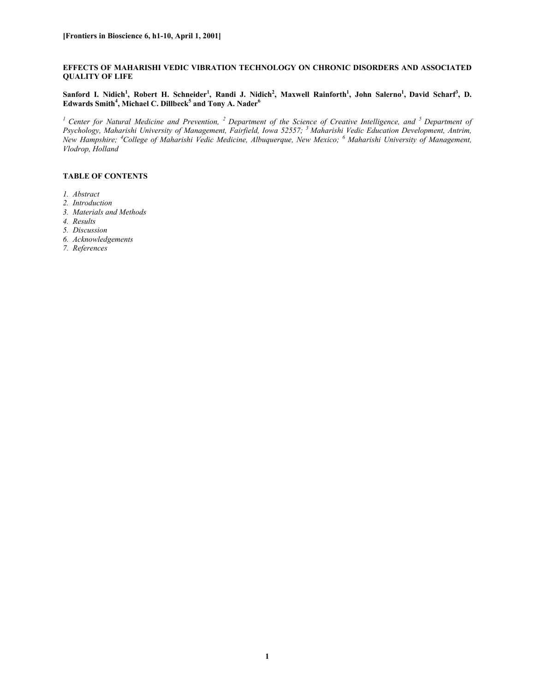## **EFFECTS OF MAHARISHI VEDIC VIBRATION TECHNOLOGY ON CHRONIC DISORDERS AND ASSOCIATED QUALITY OF LIFE**

 $S$ anford I. Nidich<sup>1</sup>, Robert H. Schneider<sup>1</sup>, Randi J. Nidich<sup>2</sup>, Maxwell Rainforth<sup>1</sup>, John Salerno<sup>1</sup>, David Scharf<sup>3</sup>, D. **Edwards Smith4 , Michael C. Dillbeck5 and Tony A. Nader<sup>6</sup>**

<sup>1</sup> Center for Natural Medicine and Prevention, <sup>2</sup> Department of the Science of Creative Intelligence, and <sup>5</sup> Department of *Psychology, Maharishi University of Management, Fairfield, Iowa 52557; 3 Maharishi Vedic Education Development, Antrim, New Hampshire; <sup>4</sup> College of Maharishi Vedic Medicine, Albuquerque, New Mexico; <sup>6</sup> Maharishi University of Management, Vlodrop, Holland*

# **TABLE OF CONTENTS**

- *1. Abstract*
- *2. Introduction*
- *3. Materials and Methods*
- *4. Results*
- *5. Discussion*
- *6. Acknowledgements*
- *7. References*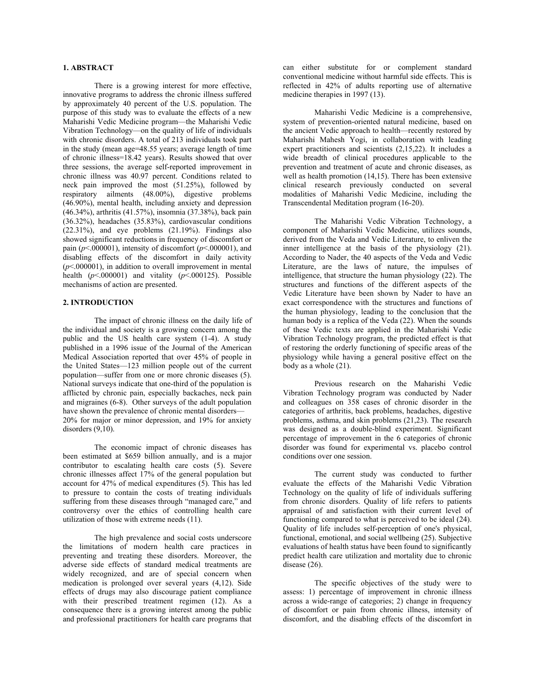### **1. ABSTRACT**

There is a growing interest for more effective, innovative programs to address the chronic illness suffered by approximately 40 percent of the U.S. population. The purpose of this study was to evaluate the effects of a new Maharishi Vedic Medicine program—the Maharishi Vedic Vibration Technology—on the quality of life of individuals with chronic disorders. A total of 213 individuals took part in the study (mean age=48.55 years; average length of time of chronic illness=18.42 years). Results showed that over three sessions, the average self-reported improvement in chronic illness was 40.97 percent. Conditions related to neck pain improved the most (51.25%), followed by respiratory ailments (48.00%), digestive problems (46.90%), mental health, including anxiety and depression (46.34%), arthritis (41.57%), insomnia (37.38%), back pain (36.32%), headaches (35.83%), cardiovascular conditions  $(22.31\%)$ , and eye problems  $(21.19\%)$ . Findings also showed significant reductions in frequency of discomfort or pain ( $p$ <.000001), intensity of discomfort ( $p$ <.000001), and disabling effects of the discomfort in daily activity  $(p<.000001)$ , in addition to overall improvement in mental health  $(p< .000001)$  and vitality  $(p< .000125)$ . Possible mechanisms of action are presented.

## **2. INTRODUCTION**

The impact of chronic illness on the daily life of the individual and society is a growing concern among the public and the US health care system (1-4). A study published in a 1996 issue of the Journal of the American Medical Association reported that over 45% of people in the United States—123 million people out of the current population—suffer from one or more chronic diseases (5). National surveys indicate that one-third of the population is afflicted by chronic pain, especially backaches, neck pain and migraines (6-8). Other surveys of the adult population have shown the prevalence of chronic mental disorders— 20% for major or minor depression, and 19% for anxiety disorders  $(9,10)$ .

The economic impact of chronic diseases has been estimated at \$659 billion annually, and is a major contributor to escalating health care costs (5). Severe chronic illnesses affect 17% of the general population but account for 47% of medical expenditures (5). This has led to pressure to contain the costs of treating individuals suffering from these diseases through "managed care," and controversy over the ethics of controlling health care utilization of those with extreme needs (11).

The high prevalence and social costs underscore the limitations of modern health care practices in preventing and treating these disorders. Moreover, the adverse side effects of standard medical treatments are widely recognized, and are of special concern when medication is prolonged over several years (4,12). Side effects of drugs may also discourage patient compliance with their prescribed treatment regimen (12). As a consequence there is a growing interest among the public and professional practitioners for health care programs that

can either substitute for or complement standard conventional medicine without harmful side effects. This is reflected in 42% of adults reporting use of alternative medicine therapies in 1997 (13).

Maharishi Vedic Medicine is a comprehensive, system of prevention-oriented natural medicine, based on the ancient Vedic approach to health—recently restored by Maharishi Mahesh Yogi, in collaboration with leading expert practitioners and scientists (2,15,22). It includes a wide breadth of clinical procedures applicable to the prevention and treatment of acute and chronic diseases, as well as health promotion (14,15). There has been extensive clinical research previously conducted on several modalities of Maharishi Vedic Medicine, including the Transcendental Meditation program (16-20).

The Maharishi Vedic Vibration Technology, a component of Maharishi Vedic Medicine, utilizes sounds, derived from the Veda and Vedic Literature, to enliven the inner intelligence at the basis of the physiology (21). According to Nader, the 40 aspects of the Veda and Vedic Literature, are the laws of nature, the impulses of intelligence, that structure the human physiology  $(22)$ . The structures and functions of the different aspects of the Vedic Literature have been shown by Nader to have an exact correspondence with the structures and functions of the human physiology, leading to the conclusion that the human body is a replica of the Veda (22). When the sounds of these Vedic texts are applied in the Maharishi Vedic Vibration Technology program, the predicted effect is that of restoring the orderly functioning of specific areas of the physiology while having a general positive effect on the body as a whole (21).

Previous research on the Maharishi Vedic Vibration Technology program was conducted by Nader and colleagues on 358 cases of chronic disorder in the categories of arthritis, back problems, headaches, digestive problems, asthma, and skin problems (21,23). The research was designed as a double-blind experiment. Significant percentage of improvement in the 6 categories of chronic disorder was found for experimental vs. placebo control conditions over one session.

The current study was conducted to further evaluate the effects of the Maharishi Vedic Vibration Technology on the quality of life of individuals suffering from chronic disorders. Quality of life refers to patients appraisal of and satisfaction with their current level of functioning compared to what is perceived to be ideal (24). Quality of life includes self-perception of one's physical, functional, emotional, and social wellbeing (25). Subjective evaluations of health status have been found to significantly predict health care utilization and mortality due to chronic disease (26).

The specific objectives of the study were to assess: 1) percentage of improvement in chronic illness across a wide-range of categories; 2) change in frequency of discomfort or pain from chronic illness, intensity of discomfort, and the disabling effects of the discomfort in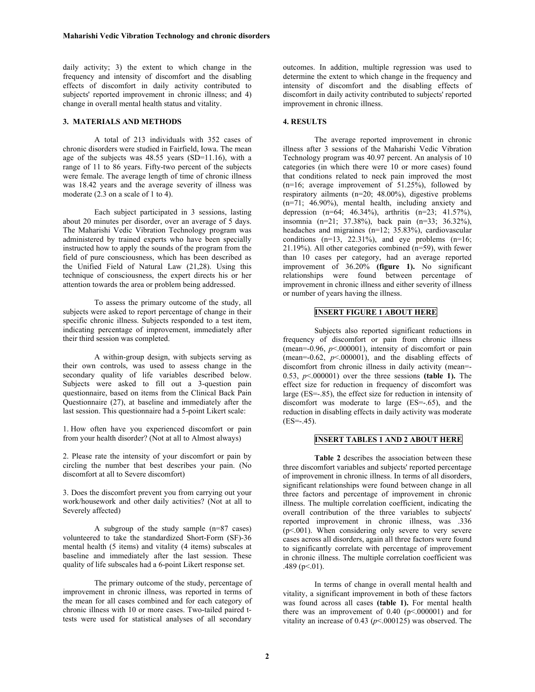daily activity; 3) the extent to which change in the frequency and intensity of discomfort and the disabling effects of discomfort in daily activity contributed to subjects' reported improvement in chronic illness; and 4) change in overall mental health status and vitality.

#### **3. MATERIALS AND METHODS**

A total of 213 individuals with 352 cases of chronic disorders were studied in Fairfield, Iowa. The mean age of the subjects was 48.55 years (SD=11.16), with a range of 11 to 86 years. Fifty-two percent of the subjects were female. The average length of time of chronic illness was 18.42 years and the average severity of illness was moderate (2.3 on a scale of 1 to 4).

Each subject participated in 3 sessions, lasting about 20 minutes per disorder, over an average of 5 days. The Maharishi Vedic Vibration Technology program was administered by trained experts who have been specially instructed how to apply the sounds of the program from the field of pure consciousness, which has been described as the Unified Field of Natural Law (21,28). Using this technique of consciousness, the expert directs his or her attention towards the area or problem being addressed.

To assess the primary outcome of the study, all subjects were asked to report percentage of change in their specific chronic illness. Subjects responded to a test item, indicating percentage of improvement, immediately after their third session was completed.

A within-group design, with subjects serving as their own controls, was used to assess change in the secondary quality of life variables described below. Subjects were asked to fill out a 3-question pain questionnaire, based on items from the Clinical Back Pain Questionnaire (27), at baseline and immediately after the last session. This questionnaire had a 5-point Likert scale:

1. How often have you experienced discomfort or pain from your health disorder? (Not at all to Almost always)

2. Please rate the intensity of your discomfort or pain by circling the number that best describes your pain. (No discomfort at all to Severe discomfort)

3. Does the discomfort prevent you from carrying out your work/housework and other daily activities? (Not at all to Severely affected)

A subgroup of the study sample (n=87 cases) volunteered to take the standardized Short-Form (SF)-36 mental health (5 items) and vitality (4 items) subscales at baseline and immediately after the last session. These quality of life subscales had a 6-point Likert response set.

The primary outcome of the study, percentage of improvement in chronic illness, was reported in terms of the mean for all cases combined and for each category of chronic illness with 10 or more cases. Two-tailed paired ttests were used for statistical analyses of all secondary

outcomes. In addition, multiple regression was used to determine the extent to which change in the frequency and intensity of discomfort and the disabling effects of discomfort in daily activity contributed to subjects' reported improvement in chronic illness.

#### **4. RESULTS**

The average reported improvement in chronic illness after 3 sessions of the Maharishi Vedic Vibration Technology program was 40.97 percent. An analysis of 10 categories (in which there were 10 or more cases) found that conditions related to neck pain improved the most  $(n=16;$  average improvement of 51.25%), followed by respiratory ailments (n=20; 48.00%), digestive problems (n=71; 46.90%), mental health, including anxiety and depression (n=64; 46.34%), arthritis (n=23; 41.57%), insomnia (n=21; 37.38%), back pain (n=33; 36.32%), headaches and migraines (n=12; 35.83%), cardiovascular conditions  $(n=13, 22.31\%)$ , and eye problems  $(n=16;$ 21.19%). All other categories combined (n=59), with fewer than 10 cases per category, had an average reported improvement of 36.20% **(figure 1).** No significant relationships were found between percentage of improvement in chronic illness and either severity of illness or number of years having the illness.

## **INSERT FIGURE 1 ABOUT HERE**

Subjects also reported significant reductions in frequency of discomfort or pain from chronic illness (mean=-0.96, *p*<.000001), intensity of discomfort or pain (mean= $-0.62$ ,  $p<0.00001$ ), and the disabling effects of discomfort from chronic illness in daily activity (mean=- 0.53,  $p \le 0000001$ ) over the three sessions (table 1). The effect size for reduction in frequency of discomfort was large (ES=-.85), the effect size for reduction in intensity of discomfort was moderate to large (ES=-.65), and the reduction in disabling effects in daily activity was moderate  $(ES=-.45)$ .

## **INSERT TABLES 1 AND 2 ABOUT HERE**

**Table 2** describes the association between these three discomfort variables and subjects' reported percentage of improvement in chronic illness. In terms of all disorders, significant relationships were found between change in all three factors and percentage of improvement in chronic illness. The multiple correlation coefficient, indicating the overall contribution of the three variables to subjects' reported improvement in chronic illness, was .336  $(p<.001)$ . When considering only severe to very severe cases across all disorders, again all three factors were found to significantly correlate with percentage of improvement in chronic illness. The multiple correlation coefficient was .489 ( $p<.01$ ).

In terms of change in overall mental health and vitality, a significant improvement in both of these factors was found across all cases **(table 1).** For mental health there was an improvement of  $0.40$  ( $p < .000001$ ) and for vitality an increase of 0.43 (*p*<.000125) was observed. The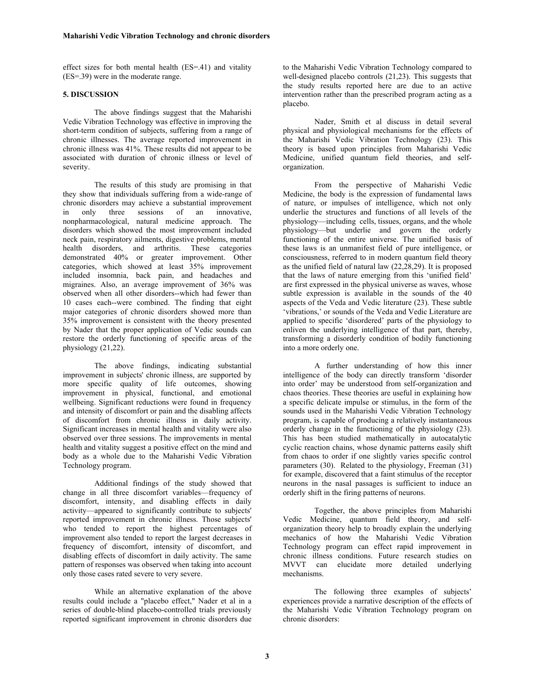effect sizes for both mental health (ES=.41) and vitality (ES=.39) were in the moderate range.

### **5. DISCUSSION**

The above findings suggest that the Maharishi Vedic Vibration Technology was effective in improving the short-term condition of subjects, suffering from a range of chronic illnesses. The average reported improvement in chronic illness was 41%. These results did not appear to be associated with duration of chronic illness or level of severity.

The results of this study are promising in that they show that individuals suffering from a wide-range of chronic disorders may achieve a substantial improvement in only three sessions of an innovative, nonpharmacological, natural medicine approach. The disorders which showed the most improvement included neck pain, respiratory ailments, digestive problems, mental health disorders, and arthritis. These categories demonstrated 40% or greater improvement. Other categories, which showed at least 35% improvement included insomnia, back pain, and headaches and migraines. Also, an average improvement of 36% was observed when all other disorders--which had fewer than 10 cases each--were combined. The finding that eight major categories of chronic disorders showed more than 35% improvement is consistent with the theory presented by Nader that the proper application of Vedic sounds can restore the orderly functioning of specific areas of the physiology (21,22).

The above findings, indicating substantial improvement in subjects' chronic illness, are supported by more specific quality of life outcomes, showing improvement in physical, functional, and emotional wellbeing. Significant reductions were found in frequency and intensity of discomfort or pain and the disabling affects of discomfort from chronic illness in daily activity. Significant increases in mental health and vitality were also observed over three sessions. The improvements in mental health and vitality suggest a positive effect on the mind and body as a whole due to the Maharishi Vedic Vibration Technology program.

Additional findings of the study showed that change in all three discomfort variables—frequency of discomfort, intensity, and disabling effects in daily activity—appeared to significantly contribute to subjects' reported improvement in chronic illness. Those subjects' who tended to report the highest percentages of improvement also tended to report the largest decreases in frequency of discomfort, intensity of discomfort, and disabling effects of discomfort in daily activity. The same pattern of responses was observed when taking into account only those cases rated severe to very severe.

While an alternative explanation of the above results could include a "placebo effect," Nader et al in a series of double-blind placebo-controlled trials previously reported significant improvement in chronic disorders due to the Maharishi Vedic Vibration Technology compared to well-designed placebo controls (21,23). This suggests that the study results reported here are due to an active intervention rather than the prescribed program acting as a placebo.

Nader, Smith et al discuss in detail several physical and physiological mechanisms for the effects of the Maharishi Vedic Vibration Technology (23). This theory is based upon principles from Maharishi Vedic Medicine, unified quantum field theories, and selforganization.

From the perspective of Maharishi Vedic Medicine, the body is the expression of fundamental laws of nature, or impulses of intelligence, which not only underlie the structures and functions of all levels of the physiology—including cells, tissues, organs, and the whole physiology—but underlie and govern the orderly functioning of the entire universe. The unified basis of these laws is an unmanifest field of pure intelligence, or consciousness, referred to in modern quantum field theory as the unified field of natural law (22,28,29). It is proposed that the laws of nature emerging from this 'unified field' are first expressed in the physical universe as waves, whose subtle expression is available in the sounds of the 40 aspects of the Veda and Vedic literature (23). These subtle 'vibrations,' or sounds of the Veda and Vedic Literature are applied to specific 'disordered' parts of the physiology to enliven the underlying intelligence of that part, thereby, transforming a disorderly condition of bodily functioning into a more orderly one.

A further understanding of how this inner intelligence of the body can directly transform 'disorder into order' may be understood from self-organization and chaos theories. These theories are useful in explaining how a specific delicate impulse or stimulus, in the form of the sounds used in the Maharishi Vedic Vibration Technology program, is capable of producing a relatively instantaneous orderly change in the functioning of the physiology (23). This has been studied mathematically in autocatalytic cyclic reaction chains, whose dynamic patterns easily shift from chaos to order if one slightly varies specific control parameters (30). Related to the physiology, Freeman (31) for example, discovered that a faint stimulus of the receptor neurons in the nasal passages is sufficient to induce an orderly shift in the firing patterns of neurons.

Together, the above principles from Maharishi Vedic Medicine, quantum field theory, and selforganization theory help to broadly explain the underlying mechanics of how the Maharishi Vedic Vibration Technology program can effect rapid improvement in chronic illness conditions. Future research studies on MVVT can elucidate more detailed underlying mechanisms.

The following three examples of subjects' experiences provide a narrative description of the effects of the Maharishi Vedic Vibration Technology program on chronic disorders: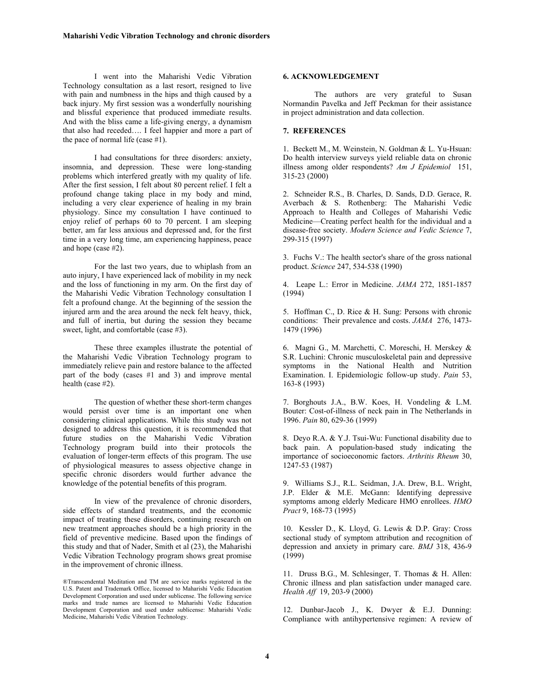I went into the Maharishi Vedic Vibration Technology consultation as a last resort, resigned to live with pain and numbness in the hips and thigh caused by a back injury. My first session was a wonderfully nourishing and blissful experience that produced immediate results. And with the bliss came a life-giving energy, a dynamism that also had receded…. I feel happier and more a part of the pace of normal life (case #1).

I had consultations for three disorders: anxiety, insomnia, and depression. These were long-standing problems which interfered greatly with my quality of life. After the first session, I felt about 80 percent relief. I felt a profound change taking place in my body and mind, including a very clear experience of healing in my brain physiology. Since my consultation I have continued to enjoy relief of perhaps 60 to 70 percent. I am sleeping better, am far less anxious and depressed and, for the first time in a very long time, am experiencing happiness, peace and hope (case #2).

For the last two years, due to whiplash from an auto injury, I have experienced lack of mobility in my neck and the loss of functioning in my arm. On the first day of the Maharishi Vedic Vibration Technology consultation I felt a profound change. At the beginning of the session the injured arm and the area around the neck felt heavy, thick, and full of inertia, but during the session they became sweet, light, and comfortable (case #3).

These three examples illustrate the potential of the Maharishi Vedic Vibration Technology program to immediately relieve pain and restore balance to the affected part of the body (cases #1 and 3) and improve mental health (case #2).

The question of whether these short-term changes would persist over time is an important one when considering clinical applications. While this study was not designed to address this question, it is recommended that future studies on the Maharishi Vedic Vibration Technology program build into their protocols the evaluation of longer-term effects of this program. The use of physiological measures to assess objective change in specific chronic disorders would further advance the knowledge of the potential benefits of this program.

In view of the prevalence of chronic disorders, side effects of standard treatments, and the economic impact of treating these disorders, continuing research on new treatment approaches should be a high priority in the field of preventive medicine. Based upon the findings of this study and that of Nader, Smith et al (23), the Maharishi Vedic Vibration Technology program shows great promise in the improvement of chronic illness.

# **6. ACKNOWLEDGEMENT**

The authors are very grateful to Susan Normandin Pavelka and Jeff Peckman for their assistance in project administration and data collection.

#### **7. REFERENCES**

1. Beckett M., M. Weinstein, N. Goldman & L. Yu-Hsuan: Do health interview surveys yield reliable data on chronic illness among older respondents? *Am J Epidemiol* 151, 315-23 (2000)

2. Schneider R.S., B. Charles, D. Sands, D.D. Gerace, R. Averbach & S. Rothenberg: The Maharishi Vedic Approach to Health and Colleges of Maharishi Vedic Medicine—Creating perfect health for the individual and a disease-free society. *Modern Science and Vedic Science* 7, 299-315 (1997)

3. Fuchs V.: The health sector's share of the gross national product. *Science* 247, 534-538 (1990)

4. Leape L.: Error in Medicine. *JAMA* 272, 1851-1857 (1994)

5. Hoffman C., D. Rice & H. Sung: Persons with chronic conditions: Their prevalence and costs. *JAMA* 276, 1473- 1479 (1996)

6. Magni G., M. Marchetti, C. Moreschi, H. Merskey & S.R. Luchini: Chronic musculoskeletal pain and depressive symptoms in the National Health and Nutrition Examination. I. Epidemiologic follow-up study. *Pain* 53, 163-8 (1993)

7. Borghouts J.A., B.W. Koes, H. Vondeling & L.M. Bouter: Cost-of-illness of neck pain in The Netherlands in 1996. *Pain* 80, 629-36 (1999)

8. Deyo R.A. & Y.J. Tsui-Wu: Functional disability due to back pain. A population-based study indicating the importance of socioeconomic factors. *Arthritis Rheum* 30, 1247-53 (1987)

9. Williams S.J., R.L. Seidman, J.A. Drew, B.L. Wright, J.P. Elder & M.E. McGann: Identifying depressive symptoms among elderly Medicare HMO enrollees. *HMO Pract* 9, 168-73 (1995)

10. Kessler D., K. Lloyd, G. Lewis & D.P. Gray: Cross sectional study of symptom attribution and recognition of depression and anxiety in primary care. *BMJ* 318, 436-9 (1999)

11. Druss B.G., M. Schlesinger, T. Thomas & H. Allen: Chronic illness and plan satisfaction under managed care. *Health Aff* 19, 203-9 (2000)

12. Dunbar-Jacob J., K. Dwyer & E.J. Dunning: Compliance with antihypertensive regimen: A review of

<sup>®</sup>Transcendental Meditation and TM are service marks registered in the U.S. Patent and Trademark Office, licensed to Maharishi Vedic Education Development Corporation and used under sublicense. The following service marks and trade names are licensed to Maharishi Vedic Education Development Corporation and used under sublicense: Maharishi Vedic Medicine, Maharishi Vedic Vibration Technology.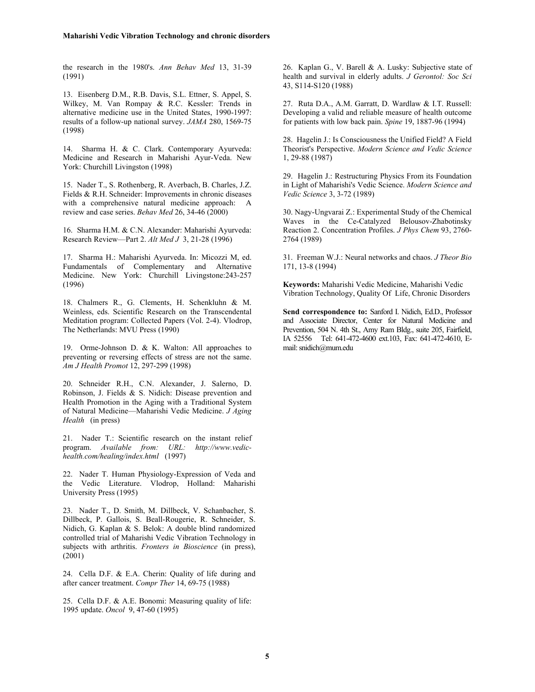the research in the 1980's. *Ann Behav Med* 13, 31-39 (1991)

13. Eisenberg D.M., R.B. Davis, S.L. Ettner, S. Appel, S. Wilkey, M. Van Rompay & R.C. Kessler: Trends in alternative medicine use in the United States, 1990-1997: results of a follow-up national survey. *JAMA* 280, 1569-75 (1998)

14. Sharma H. & C. Clark. Contemporary Ayurveda: Medicine and Research in Maharishi Ayur-Veda. New York: Churchill Livingston (1998)

15. Nader T., S. Rothenberg, R. Averbach, B. Charles, J.Z. Fields & R.H. Schneider: Improvements in chronic diseases with a comprehensive natural medicine approach: A review and case series. *Behav Med* 26, 34-46 (2000)

16. Sharma H.M. & C.N. Alexander: Maharishi Ayurveda: Research Review—Part 2. *Alt Med J* 3, 21-28 (1996)

17. Sharma H.: Maharishi Ayurveda. In: Micozzi M, ed. Fundamentals of Complementary and Alternative Medicine. New York: Churchill Livingstone:243-257 (1996)

18. Chalmers R., G. Clements, H. Schenkluhn & M. Weinless, eds. Scientific Research on the Transcendental Meditation program: Collected Papers (Vol. 2-4). Vlodrop, The Netherlands: MVU Press (1990)

19. Orme-Johnson D. & K. Walton: All approaches to preventing or reversing effects of stress are not the same. *Am J Health Promot* 12, 297-299 (1998)

20. Schneider R.H., C.N. Alexander, J. Salerno, D. Robinson, J. Fields & S. Nidich: Disease prevention and Health Promotion in the Aging with a Traditional System of Natural Medicine—Maharishi Vedic Medicine. *J Aging Health* (in press)

21. Nader T.: Scientific research on the instant relief program. *Available from: URL: http://www.vedichealth.com/healing/index.html* (1997)

22. Nader T. Human Physiology-Expression of Veda and the Vedic Literature. Vlodrop, Holland: Maharishi University Press (1995)

23. Nader T., D. Smith, M. Dillbeck, V. Schanbacher, S. Dillbeck, P. Gallois, S. Beall-Rougerie, R. Schneider, S. Nidich, G. Kaplan & S. Belok: A double blind randomized controlled trial of Maharishi Vedic Vibration Technology in subjects with arthritis. *Fronters in Bioscience* (in press), (2001)

24. Cella D.F. & E.A. Cherin: Quality of life during and after cancer treatment. *Compr Ther* 14, 69-75 (1988)

25. Cella D.F. & A.E. Bonomi: Measuring quality of life: 1995 update. *Oncol* 9, 47-60 (1995)

26. Kaplan G., V. Barell & A. Lusky: Subjective state of health and survival in elderly adults. *J Gerontol: Soc Sci*  43, S114-S120 (1988)

27. Ruta D.A., A.M. Garratt, D. Wardlaw & I.T. Russell: Developing a valid and reliable measure of health outcome for patients with low back pain. *Spine* 19, 1887-96 (1994)

28. Hagelin J.: Is Consciousness the Unified Field? A Field Theorist's Perspective. *Modern Science and Vedic Science*  1, 29-88 (1987)

29. Hagelin J.: Restructuring Physics From its Foundation in Light of Maharishi's Vedic Science. *Modern Science and Vedic Science* 3, 3-72 (1989)

30. Nagy-Ungvarai Z.: Experimental Study of the Chemical Waves in the Ce-Catalyzed Belousov-Zhabotinsky Reaction 2. Concentration Profiles. *J Phys Chem* 93, 2760- 2764 (1989)

31. Freeman W.J.: Neural networks and chaos. *J Theor Bio*  171, 13-8 (1994)

**Keywords:** Maharishi Vedic Medicine, Maharishi Vedic Vibration Technology, Quality Of Life, Chronic Disorders

**Send correspondence to:** Sanford I. Nidich, Ed.D., Professor and Associate Director, Center for Natural Medicine and Prevention, 504 N. 4th St., Amy Ram Bldg., suite 205, Fairfield, IA 52556 Tel: 641-472-4600 ext.103, Fax: 641-472-4610, Email: [snidich@mum.edu](mailto:snidich@mum.edu)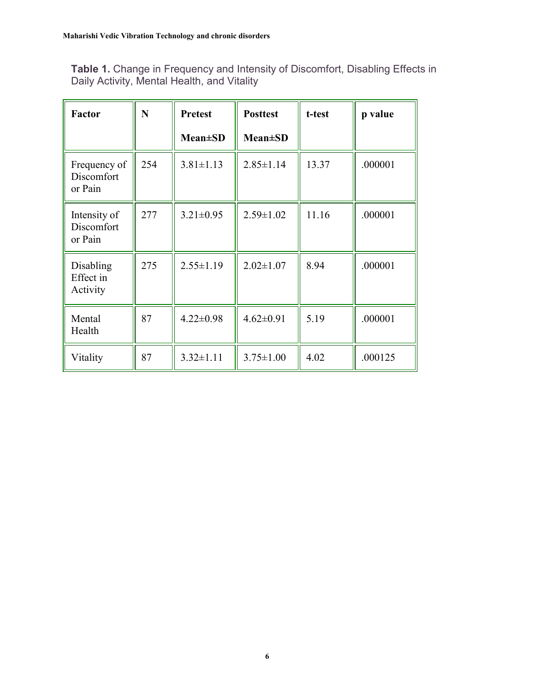**Table 1.** Change in Frequency and Intensity of Discomfort, Disabling Effects in Daily Activity, Mental Health, and Vitality

| <b>Factor</b>                         | N   | <b>Pretest</b>  | <b>Posttest</b> | t-test | p value |
|---------------------------------------|-----|-----------------|-----------------|--------|---------|
|                                       |     | <b>Mean±SD</b>  | <b>Mean</b> ±SD |        |         |
| Frequency of<br>Discomfort<br>or Pain | 254 | $3.81 \pm 1.13$ | $2.85 \pm 1.14$ | 13.37  | .000001 |
| Intensity of<br>Discomfort<br>or Pain | 277 | $3.21 \pm 0.95$ | $2.59 \pm 1.02$ | 11.16  | .000001 |
| Disabling<br>Effect in<br>Activity    | 275 | $2.55 \pm 1.19$ | $2.02 \pm 1.07$ | 8.94   | .000001 |
| Mental<br>Health                      | 87  | $4.22 \pm 0.98$ | $4.62 \pm 0.91$ | 5.19   | .000001 |
| Vitality                              | 87  | $3.32 \pm 1.11$ | $3.75 \pm 1.00$ | 4.02   | .000125 |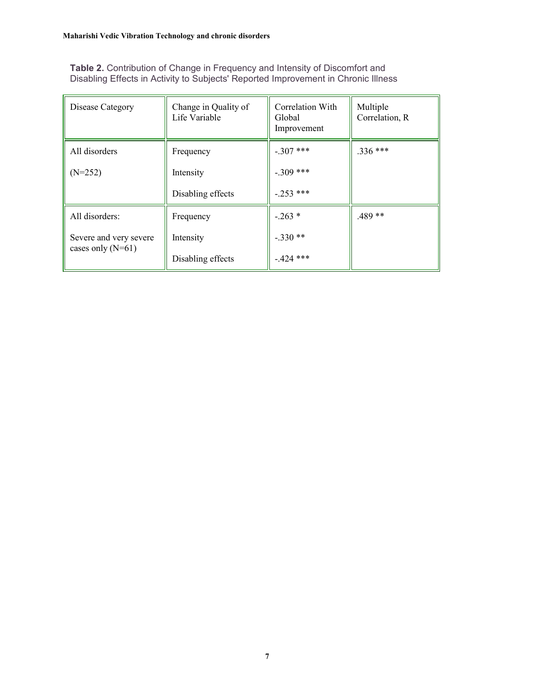**Table 2.** Contribution of Change in Frequency and Intensity of Discomfort and Disabling Effects in Activity to Subjects' Reported Improvement in Chronic Illness

| Disease Category       | Change in Quality of<br>Life Variable | Correlation With<br>Global<br>Improvement | Multiple<br>Correlation, R |
|------------------------|---------------------------------------|-------------------------------------------|----------------------------|
| All disorders          | Frequency                             | $-.307$ ***                               | $.336***$                  |
| $(N=252)$              | Intensity                             | $-.309$ ***                               |                            |
|                        | Disabling effects                     | $-.253$ ***                               |                            |
| All disorders:         | Frequency                             | $-.263*$                                  | $.489**$                   |
| Severe and very severe | Intensity                             | $-.330**$                                 |                            |
| cases only $(N=61)$    | Disabling effects                     | $-424$ ***                                |                            |